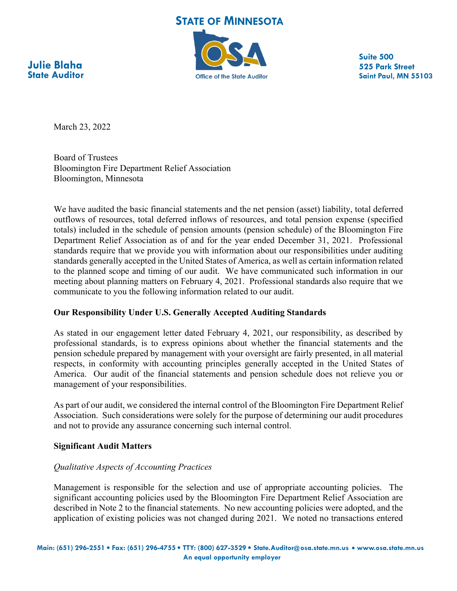**STATE OF MINNESOTA** 



**Suite 500 525 Park Street Saint Paul, MN 55103**

**Julie Blaha State Auditor**

March 23, 2022

Board of Trustees Bloomington Fire Department Relief Association Bloomington, Minnesota

We have audited the basic financial statements and the net pension (asset) liability, total deferred outflows of resources, total deferred inflows of resources, and total pension expense (specified totals) included in the schedule of pension amounts (pension schedule) of the Bloomington Fire Department Relief Association as of and for the year ended December 31, 2021. Professional standards require that we provide you with information about our responsibilities under auditing standards generally accepted in the United States of America, as well as certain information related to the planned scope and timing of our audit. We have communicated such information in our meeting about planning matters on February 4, 2021. Professional standards also require that we communicate to you the following information related to our audit.

# **Our Responsibility Under U.S. Generally Accepted Auditing Standards**

As stated in our engagement letter dated February 4, 2021, our responsibility, as described by professional standards, is to express opinions about whether the financial statements and the pension schedule prepared by management with your oversight are fairly presented, in all material respects, in conformity with accounting principles generally accepted in the United States of America. Our audit of the financial statements and pension schedule does not relieve you or management of your responsibilities.

As part of our audit, we considered the internal control of the Bloomington Fire Department Relief Association. Such considerations were solely for the purpose of determining our audit procedures and not to provide any assurance concerning such internal control.

# **Significant Audit Matters**

# *Qualitative Aspects of Accounting Practices*

Management is responsible for the selection and use of appropriate accounting policies. The significant accounting policies used by the Bloomington Fire Department Relief Association are described in Note 2 to the financial statements. No new accounting policies were adopted, and the application of existing policies was not changed during 2021. We noted no transactions entered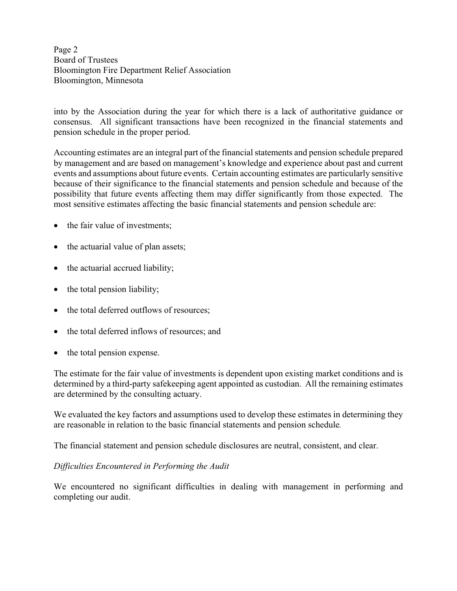Page 2 Board of Trustees Bloomington Fire Department Relief Association Bloomington, Minnesota

into by the Association during the year for which there is a lack of authoritative guidance or consensus. All significant transactions have been recognized in the financial statements and pension schedule in the proper period.

Accounting estimates are an integral part of the financial statements and pension schedule prepared by management and are based on management's knowledge and experience about past and current events and assumptions about future events. Certain accounting estimates are particularly sensitive because of their significance to the financial statements and pension schedule and because of the possibility that future events affecting them may differ significantly from those expected. The most sensitive estimates affecting the basic financial statements and pension schedule are:

- the fair value of investments;
- the actuarial value of plan assets;
- the actuarial accrued liability;
- $\bullet$  the total pension liability;
- the total deferred outflows of resources;
- the total deferred inflows of resources; and
- the total pension expense.

The estimate for the fair value of investments is dependent upon existing market conditions and is determined by a third-party safekeeping agent appointed as custodian. All the remaining estimates are determined by the consulting actuary.

We evaluated the key factors and assumptions used to develop these estimates in determining they are reasonable in relation to the basic financial statements and pension schedule*.* 

The financial statement and pension schedule disclosures are neutral, consistent, and clear.

# *Difficulties Encountered in Performing the Audit*

We encountered no significant difficulties in dealing with management in performing and completing our audit.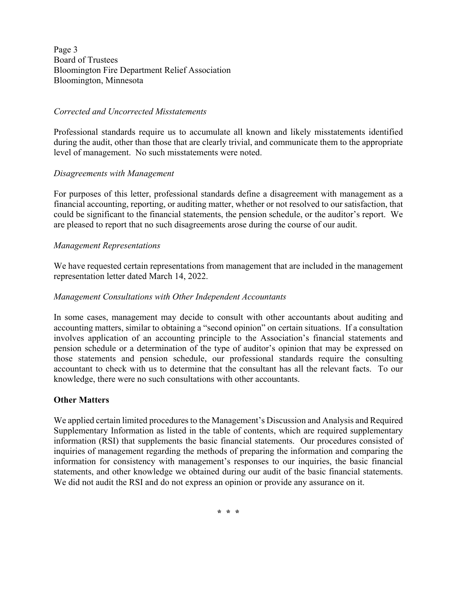Page 3 Board of Trustees Bloomington Fire Department Relief Association Bloomington, Minnesota

#### *Corrected and Uncorrected Misstatements*

Professional standards require us to accumulate all known and likely misstatements identified during the audit, other than those that are clearly trivial, and communicate them to the appropriate level of management. No such misstatements were noted.

### *Disagreements with Management*

For purposes of this letter, professional standards define a disagreement with management as a financial accounting, reporting, or auditing matter, whether or not resolved to our satisfaction, that could be significant to the financial statements, the pension schedule, or the auditor's report. We are pleased to report that no such disagreements arose during the course of our audit.

### *Management Representations*

We have requested certain representations from management that are included in the management representation letter dated March 14, 2022.

### *Management Consultations with Other Independent Accountants*

In some cases, management may decide to consult with other accountants about auditing and accounting matters, similar to obtaining a "second opinion" on certain situations. If a consultation involves application of an accounting principle to the Association's financial statements and pension schedule or a determination of the type of auditor's opinion that may be expressed on those statements and pension schedule, our professional standards require the consulting accountant to check with us to determine that the consultant has all the relevant facts. To our knowledge, there were no such consultations with other accountants.

# **Other Matters**

We applied certain limited procedures to the Management's Discussion and Analysis and Required Supplementary Information as listed in the table of contents, which are required supplementary information (RSI) that supplements the basic financial statements. Our procedures consisted of inquiries of management regarding the methods of preparing the information and comparing the information for consistency with management's responses to our inquiries, the basic financial statements, and other knowledge we obtained during our audit of the basic financial statements. We did not audit the RSI and do not express an opinion or provide any assurance on it.

**\* \* \***